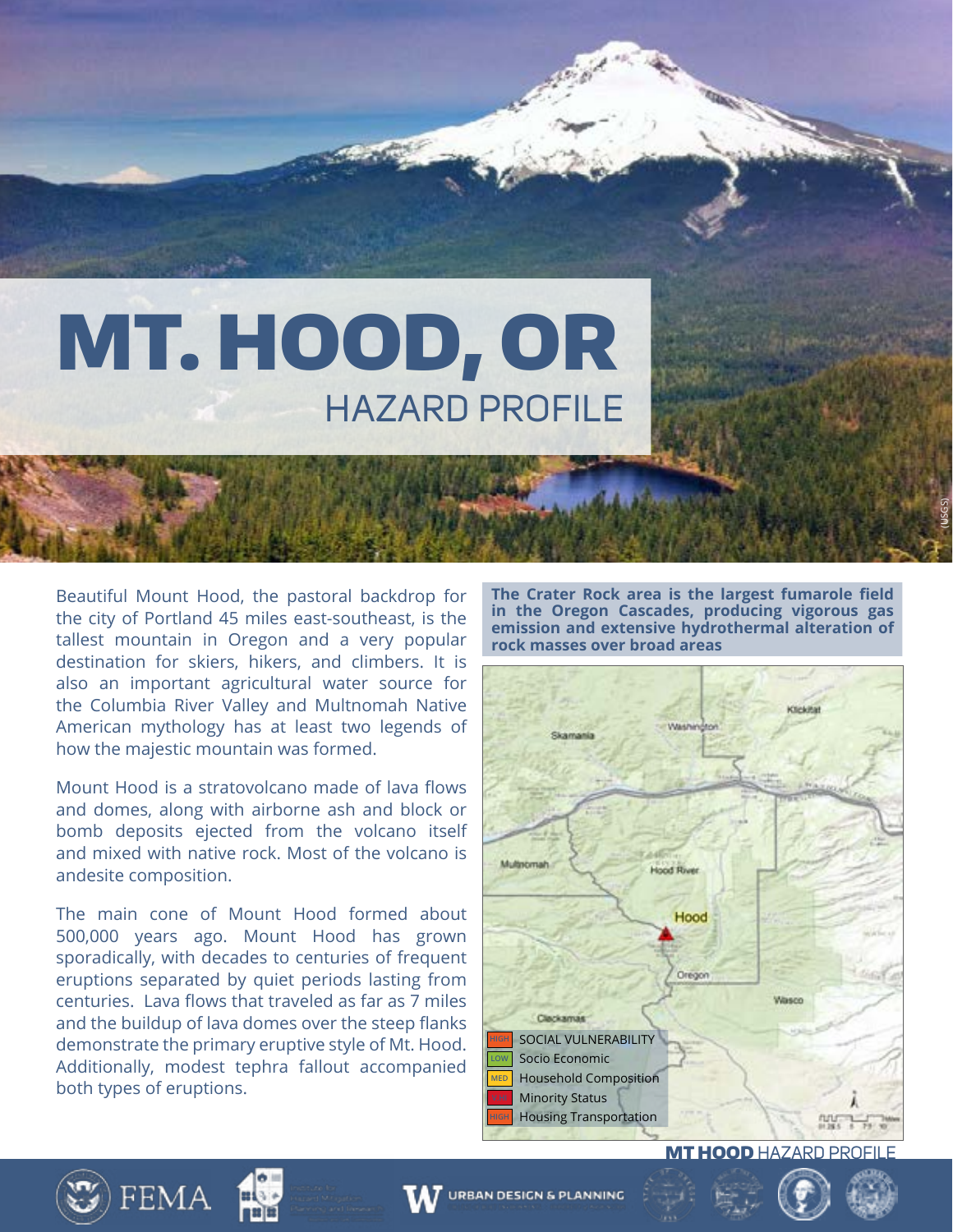# MT. HOOD, OR HAZARD PROFILE

Beautiful Mount Hood, the pastoral backdrop for the city of Portland 45 miles east-southeast, is the tallest mountain in Oregon and a very popular destination for skiers, hikers, and climbers. It is also an important agricultural water source for the Columbia River Valley and Multnomah Native American mythology has at least two legends of how the majestic mountain was formed.

Mount Hood is a stratovolcano made of lava flows and domes, along with airborne ash and block or bomb deposits ejected from the volcano itself and mixed with native rock. Most of the volcano is andesite composition.

The main cone of Mount Hood formed about 500,000 years ago. Mount Hood has grown sporadically, with decades to centuries of frequent eruptions separated by quiet periods lasting from centuries. Lava flows that traveled as far as 7 miles and the buildup of lava domes over the steep flanks demonstrate the primary eruptive style of Mt. Hood. Additionally, modest tephra fallout accompanied both types of eruptions.

**The Crater Rock area is the largest fumarole field in the Oregon Cascades, producing vigorous gas emission and extensive hydrothermal alteration of rock masses over broad areas**

(USGS)



**MT HOOD HAZARD PROFIL** 

![](_page_0_Picture_7.jpeg)

![](_page_0_Picture_8.jpeg)

![](_page_0_Picture_9.jpeg)

![](_page_0_Picture_11.jpeg)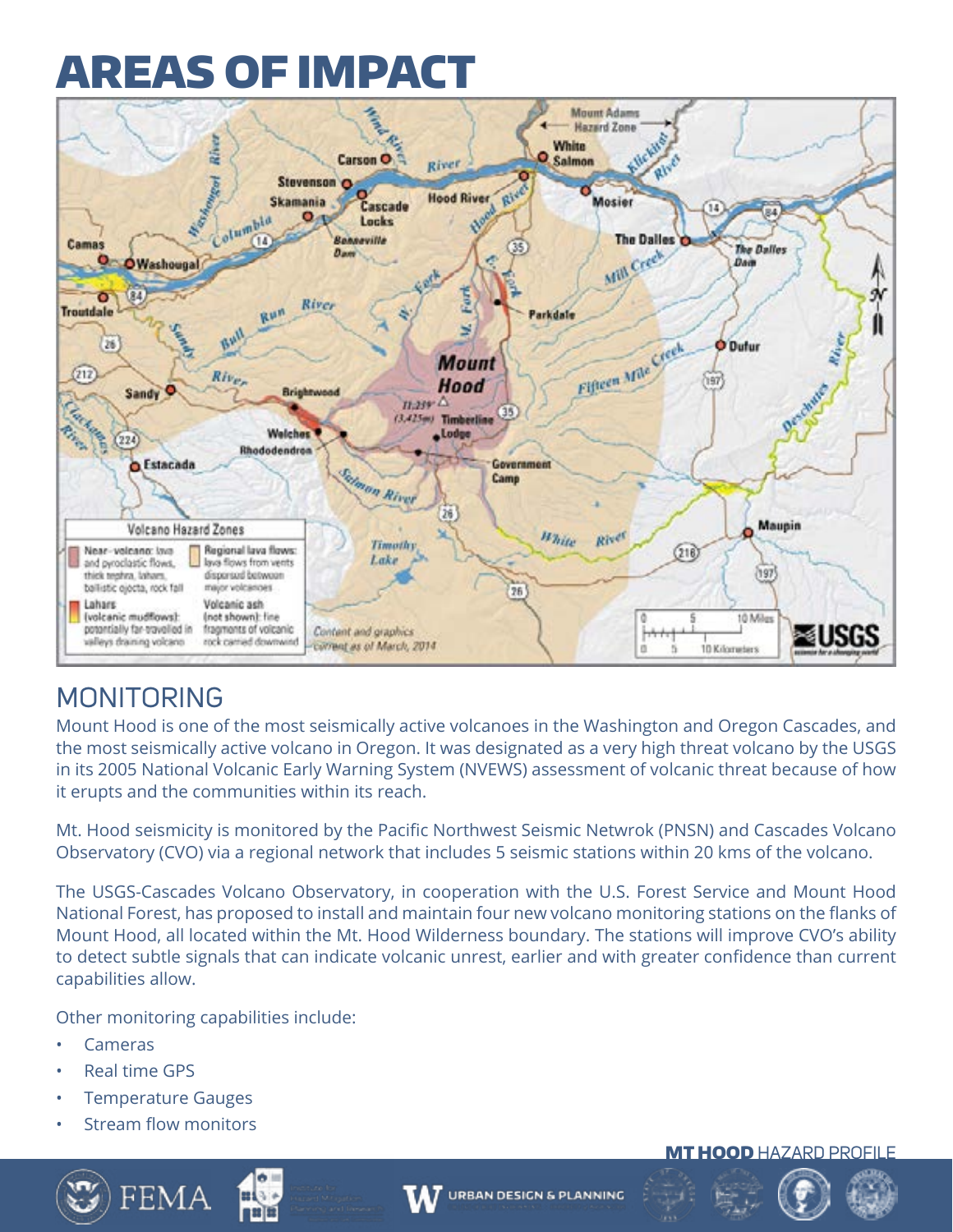![](_page_1_Picture_1.jpeg)

### MONITORING

Mount Hood is one of the most seismically active volcanoes in the Washington and Oregon Cascades, and the most seismically active volcano in Oregon. It was designated as a very high threat volcano by the USGS in its 2005 National Volcanic Early Warning System (NVEWS) assessment of volcanic threat because of how it erupts and the communities within its reach.

Mt. Hood seismicity is monitored by the Pacific Northwest Seismic Netwrok (PNSN) and Cascades Volcano Observatory (CVO) via a regional network that includes 5 seismic stations within 20 kms of the volcano.

The USGS-Cascades Volcano Observatory, in cooperation with the U.S. Forest Service and Mount Hood National Forest, has proposed to install and maintain four new volcano monitoring stations on the flanks of Mount Hood, all located within the Mt. Hood Wilderness boundary. The stations will improve CVO's ability to detect subtle signals that can indicate volcanic unrest, earlier and with greater confidence than current capabilities allow.

Other monitoring capabilities include:

- **Cameras**
- Real time GPS
- Temperature Gauges
- Stream flow monitors

![](_page_1_Picture_11.jpeg)

![](_page_1_Picture_12.jpeg)

![](_page_1_Picture_13.jpeg)

#### **MT HOOD HAZARD PROFILE**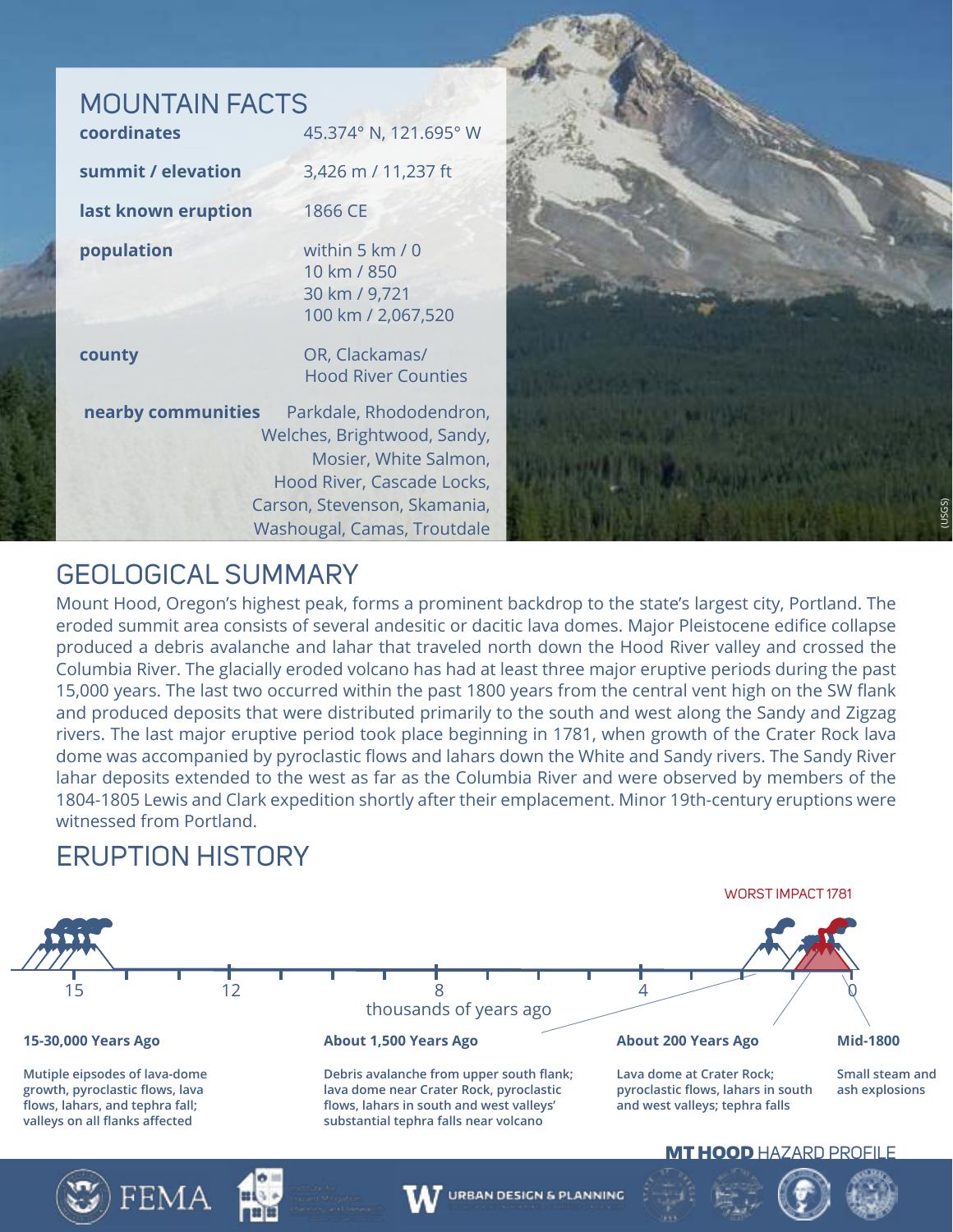## MOUNTAIN FACTS

| coordinates         | 45.374° N, 121.695° W                                                                                                                         |
|---------------------|-----------------------------------------------------------------------------------------------------------------------------------------------|
| summit / elevation  | 3,426 m / 11,237 ft                                                                                                                           |
| last known eruption | 1866 CE                                                                                                                                       |
| population          | within 5 km / 0<br>10 km / 850<br>30 km / 9,721<br>100 km / 2,067,520                                                                         |
| county              | OR, Clackamas/<br><b>Hood River Counties</b>                                                                                                  |
| nearby communities  | Parkdale, Rhododendron,<br>Welches, Brightwood, Sandy,<br>Mosier, White Salmon,<br>Hood River, Cascade Locks,<br>Carson, Stevenson, Skamania, |

![](_page_2_Picture_2.jpeg)

### GEOLOGICAL SUMMARY

Mount Hood, Oregon's highest peak, forms a prominent backdrop to the state's largest city, Portland. The eroded summit area consists of several andesitic or dacitic lava domes. Major Pleistocene edifice collapse produced a debris avalanche and lahar that traveled north down the Hood River valley and crossed the Columbia River. The glacially eroded volcano has had at least three major eruptive periods during the past 15,000 years. The last two occurred within the past 1800 years from the central vent high on the SW flank and produced deposits that were distributed primarily to the south and west along the Sandy and Zigzag rivers. The last major eruptive period took place beginning in 1781, when growth of the Crater Rock lava dome was accompanied by pyroclastic flows and lahars down the White and Sandy rivers. The Sandy River lahar deposits extended to the west as far as the Columbia River and were observed by members of the 1804-1805 Lewis and Clark expedition shortly after their emplacement. Minor 19th-century eruptions were witnessed from Portland.

### ERUPTION HISTORY

![](_page_2_Figure_6.jpeg)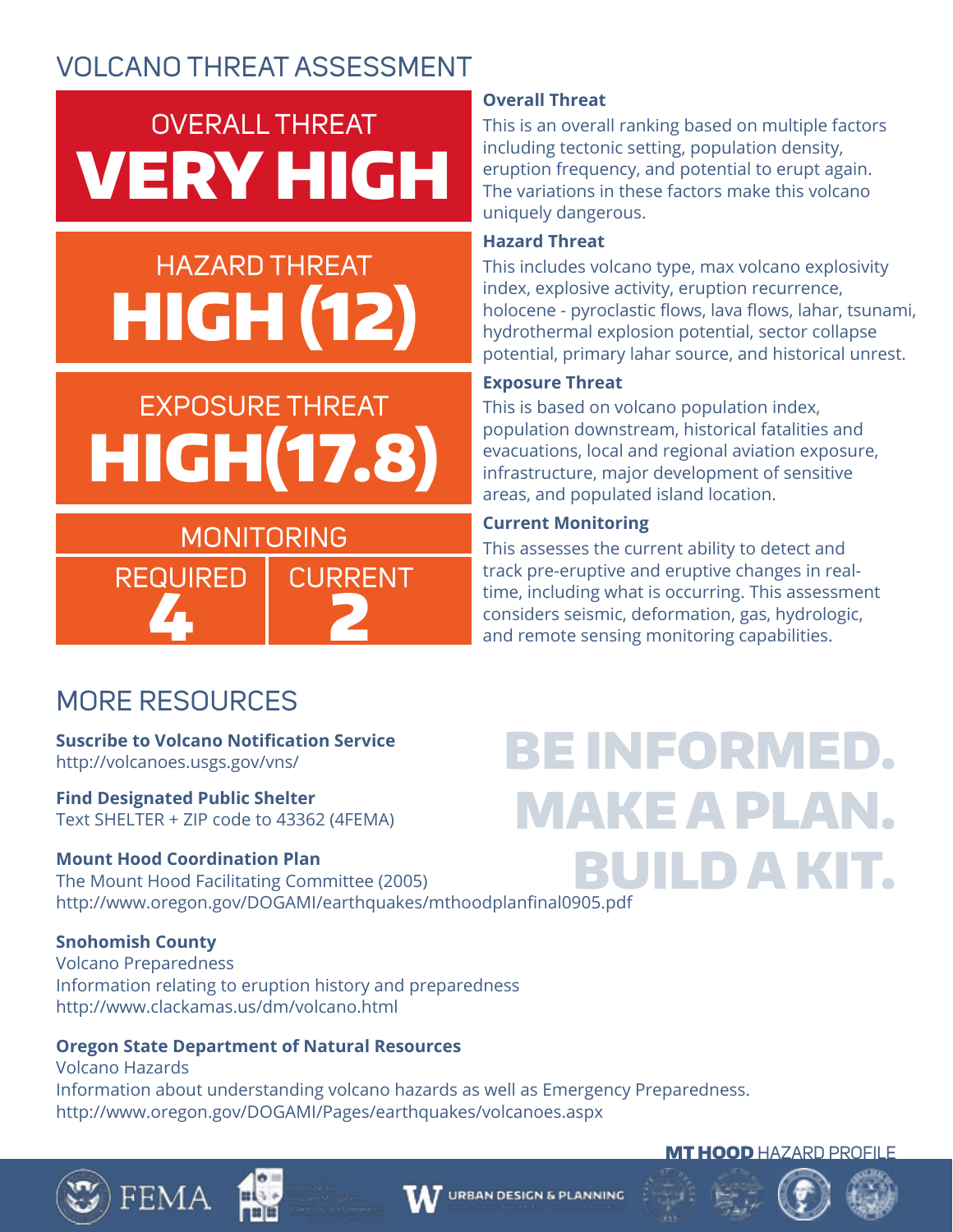## OVERALL THREAT VERY HIGH

## HAZARD THREAT HIGH (12)

## EXPOSURE THREAT HIGH(17.8)

## **MONITORING** REQUIRED | CURRENT 4 2

### **Overall Threat**

This is an overall ranking based on multiple factors including tectonic setting, population density, eruption frequency, and potential to erupt again. The variations in these factors make this volcano uniquely dangerous.

#### **Hazard Threat**

This includes volcano type, max volcano explosivity index, explosive activity, eruption recurrence, holocene - pyroclastic flows, lava flows, lahar, tsunami, hydrothermal explosion potential, sector collapse potential, primary lahar source, and historical unrest.

### **Exposure Threat**

This is based on volcano population index, population downstream, historical fatalities and evacuations, local and regional aviation exposure, infrastructure, major development of sensitive areas, and populated island location.

### **Current Monitoring**

This assesses the current ability to detect and track pre-eruptive and eruptive changes in realtime, including what is occurring. This assessment considers seismic, deformation, gas, hydrologic, and remote sensing monitoring capabilities.

## MORE RESOURCES

#### **Suscribe to Volcano Notification Service**  http://volcanoes.usgs.gov/vns/

**Find Designated Public Shelter** Text SHELTER + ZIP code to 43362 (4FEMA)

### **Mount Hood Coordination Plan**

The Mount Hood Facilitating Committee (2005) http://www.oregon.gov/DOGAMI/earthquakes/mthoodplanfinal0905.pdf

### **Snohomish County**

Volcano Preparedness Information relating to eruption history and preparedness http://www.clackamas.us/dm/volcano.html

### **Oregon State Department of Natural Resources**

Volcano Hazards Information about understanding volcano hazards as well as Emergency Preparedness. http://www.oregon.gov/DOGAMI/Pages/earthquakes/volcanoes.aspx

## BE INFORMED. MAKE A PLAN. BUILD A KIT.

![](_page_3_Picture_23.jpeg)

![](_page_3_Picture_24.jpeg)

![](_page_3_Picture_25.jpeg)

#### **MT HOOD HAZARD PROFILE**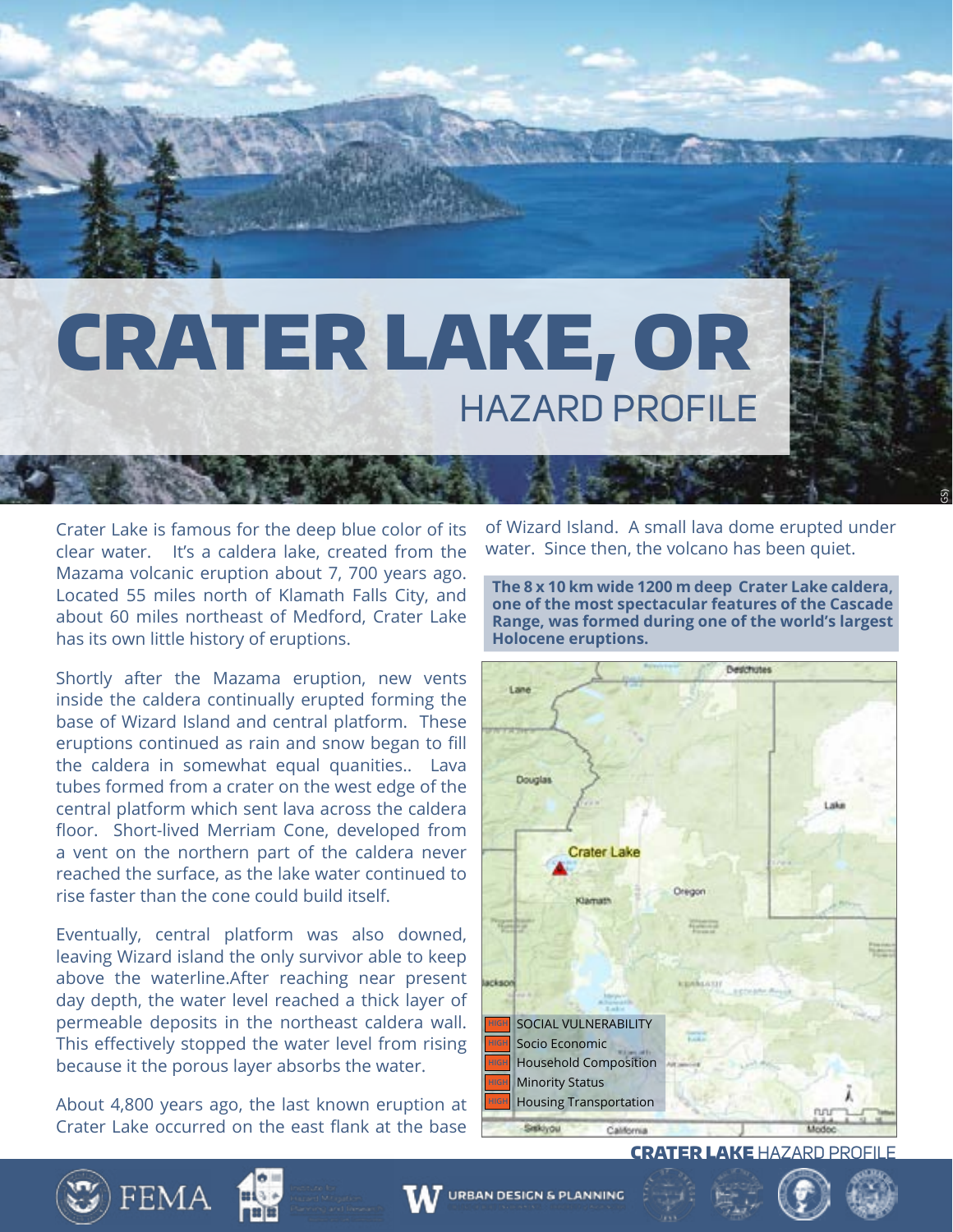![](_page_4_Picture_0.jpeg)

Crater Lake is famous for the deep blue color of its clear water. It's a caldera lake, created from the Mazama volcanic eruption about 7, 700 years ago. Located 55 miles north of Klamath Falls City, and about 60 miles northeast of Medford, Crater Lake has its own little history of eruptions.

Shortly after the Mazama eruption, new vents inside the caldera continually erupted forming the base of Wizard Island and central platform. These eruptions continued as rain and snow began to fill the caldera in somewhat equal quanities.. Lava tubes formed from a crater on the west edge of the central platform which sent lava across the caldera floor. Short-lived Merriam Cone, developed from a vent on the northern part of the caldera never reached the surface, as the lake water continued to rise faster than the cone could build itself.

Eventually, central platform was also downed, leaving Wizard island the only survivor able to keep above the waterline.After reaching near present day depth, the water level reached a thick layer of permeable deposits in the northeast caldera wall. This effectively stopped the water level from rising because it the porous layer absorbs the water.

About 4,800 years ago, the last known eruption at Crater Lake occurred on the east flank at the base

**FEMA** 

of Wizard Island. A small lava dome erupted under water. Since then, the volcano has been quiet.

GS)

**The 8 x 10 km wide 1200 m deep Crater Lake caldera, one of the most spectacular features of the Cascade Range, was formed during one of the world's largest Holocene eruptions.** 

![](_page_4_Picture_7.jpeg)

CRATER LAKE HAZARD PROFILE

**URBAN DESIGN & PLANNING** 

![](_page_4_Picture_10.jpeg)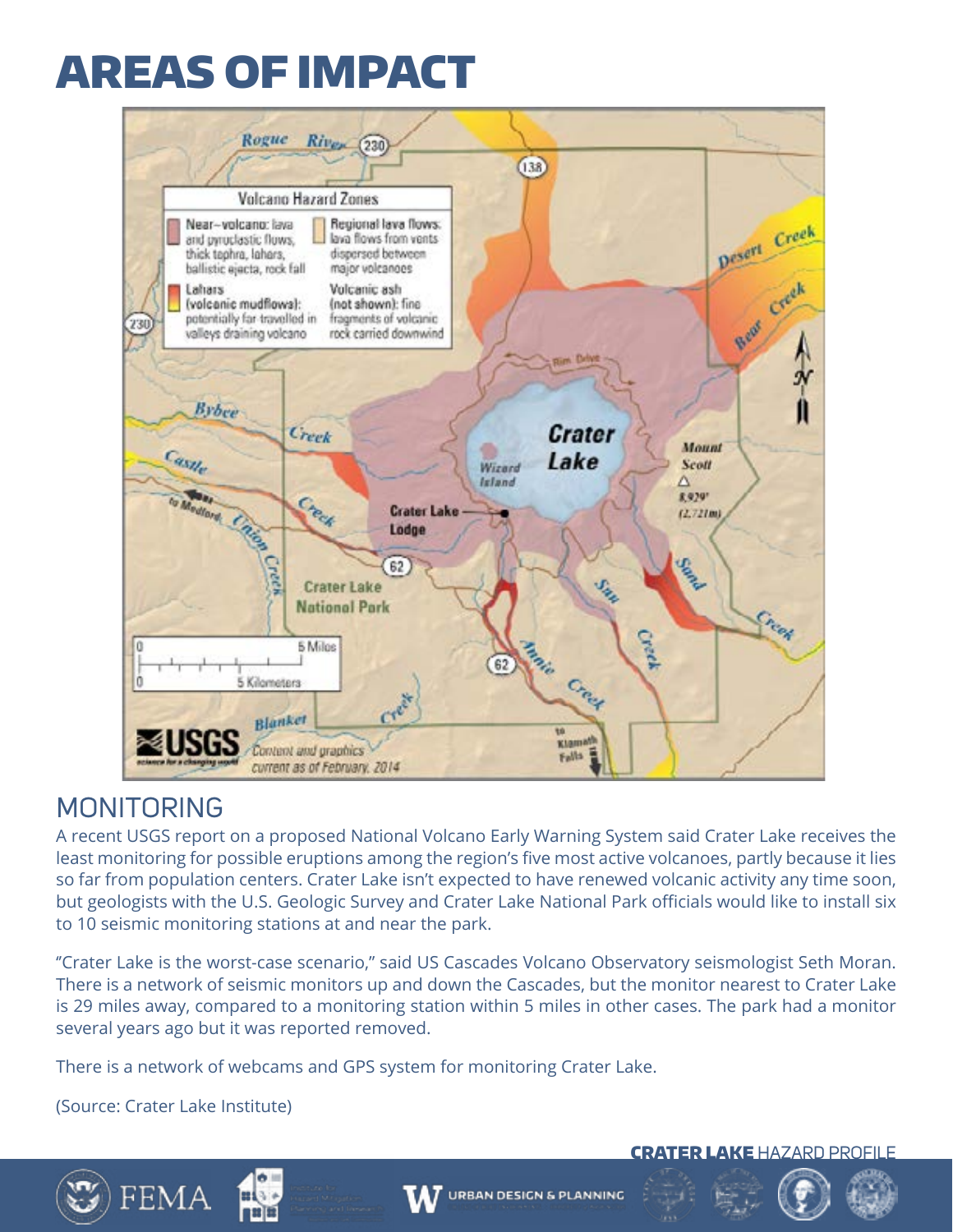![](_page_5_Figure_1.jpeg)

### MONITORING

A recent USGS report on a proposed National Volcano Early Warning System said Crater Lake receives the least monitoring for possible eruptions among the region's five most active volcanoes, partly because it lies so far from population centers. Crater Lake isn't expected to have renewed volcanic activity any time soon, but geologists with the U.S. Geologic Survey and Crater Lake National Park officials would like to install six to 10 seismic monitoring stations at and near the park.

''Crater Lake is the worst-case scenario,'' said US Cascades Volcano Observatory seismologist Seth Moran. There is a network of seismic monitors up and down the Cascades, but the monitor nearest to Crater Lake is 29 miles away, compared to a monitoring station within 5 miles in other cases. The park had a monitor several years ago but it was reported removed.

**URBAN DESIGN & PLANNING** 

There is a network of webcams and GPS system for monitoring Crater Lake.

(Source: Crater Lake Institute)

FEMA

![](_page_5_Picture_7.jpeg)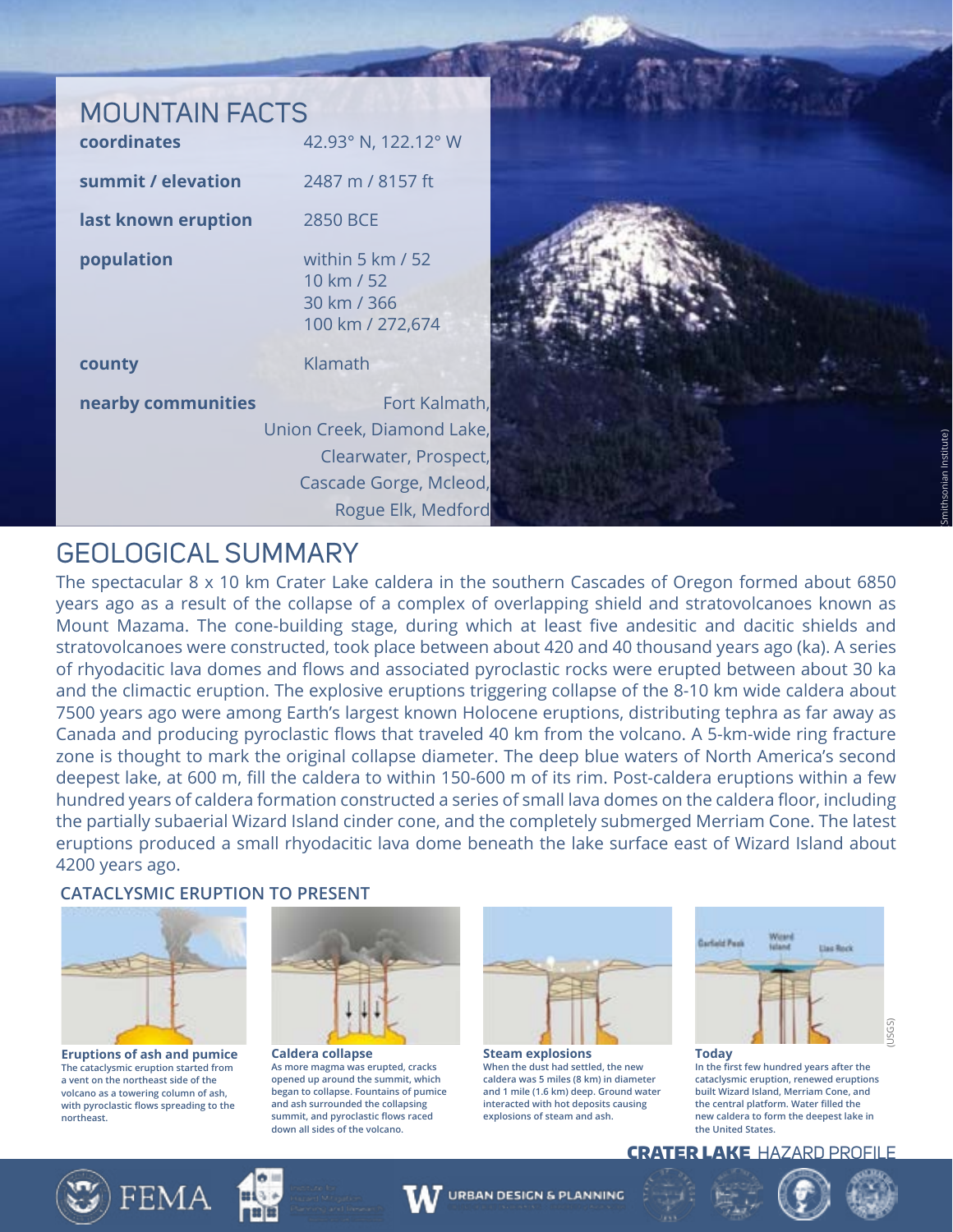### MOUNTAIN FACTS

| coordinates         | 42.93° N, 122.12° W                                                  |
|---------------------|----------------------------------------------------------------------|
| summit / elevation  | 2487 m / 8157 ft                                                     |
| last known eruption | 2850 BCE                                                             |
| population          | within 5 $km/52$<br>10 km / 52<br>30 km / 366<br>100 km / 272,674    |
| county              | Klamath                                                              |
| nearby communities  | Fort Kalmath,<br>Union Creek, Diamond Lake,<br>Clearwater, Prospect, |

![](_page_6_Picture_2.jpeg)

### GEOLOGICAL SUMMARY

The spectacular 8 x 10 km Crater Lake caldera in the southern Cascades of Oregon formed about 6850 years ago as a result of the collapse of a complex of overlapping shield and stratovolcanoes known as Mount Mazama. The cone-building stage, during which at least five andesitic and dacitic shields and stratovolcanoes were constructed, took place between about 420 and 40 thousand years ago (ka). A series of rhyodacitic lava domes and flows and associated pyroclastic rocks were erupted between about 30 ka and the climactic eruption. The explosive eruptions triggering collapse of the 8-10 km wide caldera about 7500 years ago were among Earth's largest known Holocene eruptions, distributing tephra as far away as Canada and producing pyroclastic flows that traveled 40 km from the volcano. A 5-km-wide ring fracture zone is thought to mark the original collapse diameter. The deep blue waters of North America's second deepest lake, at 600 m, fill the caldera to within 150-600 m of its rim. Post-caldera eruptions within a few hundred years of caldera formation constructed a series of small lava domes on the caldera floor, including the partially subaerial Wizard Island cinder cone, and the completely submerged Merriam Cone. The latest eruptions produced a small rhyodacitic lava dome beneath the lake surface east of Wizard Island about 4200 years ago.

#### **CATACLYSMIC ERUPTION TO PRESENT**

![](_page_6_Picture_6.jpeg)

**Eruptions of ash and pumice The cataclysmic eruption started from a vent on the northeast side of the volcano as a towering column of ash, with pyroclastic flows spreading to the northeast.**

![](_page_6_Picture_8.jpeg)

**Caldera collapse As more magma was erupted, cracks opened up around the summit, which began to collapse. Fountains of pumice and ash surrounded the collapsing summit, and pyroclastic flows raced down all sides of the volcano.**

![](_page_6_Picture_10.jpeg)

**Steam explosions When the dust had settled, the new caldera was 5 miles (8 km) in diameter and 1 mile (1.6 km) deep. Ground water interacted with hot deposits causing explosions of steam and ash.**

**URBAN DESIGN & PLANNING** 

![](_page_6_Figure_12.jpeg)

**In the first few hundred years after the cataclysmic eruption, renewed eruptions built Wizard Island, Merriam Cone, and the central platform. Water filled the new caldera to form the deepest lake in the United States.** 

CRATER LAKE HAZARD PROFILE

![](_page_6_Picture_15.jpeg)

![](_page_6_Picture_16.jpeg)

![](_page_6_Picture_17.jpeg)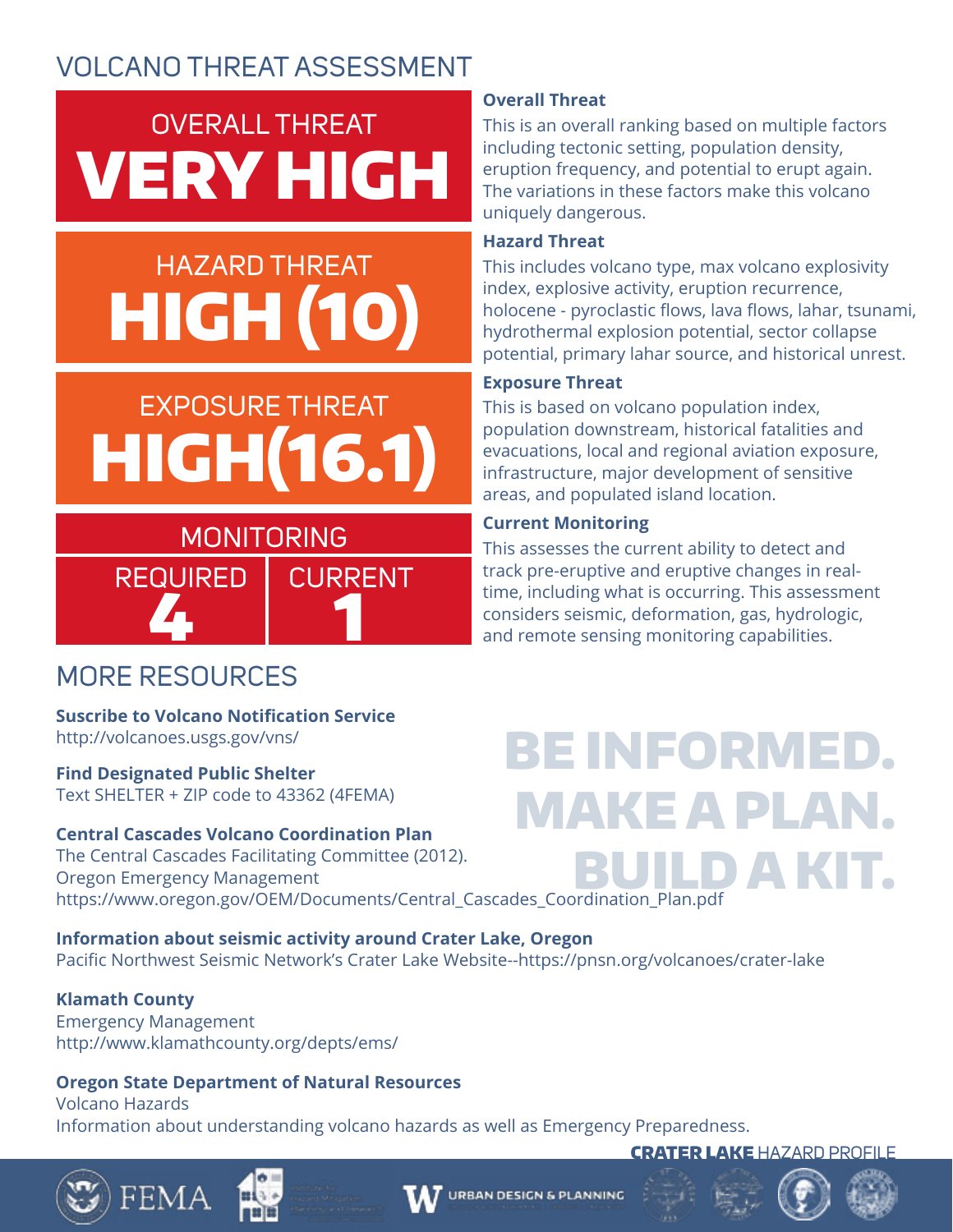# OVERALL THREAT VERY HIGH

## HAZARD THREAT HIGH (10)

## EXPOSURE THREAT HIGH(16.1)

## 4 1 MONITORING REQUIRED | CURRENT

### **Overall Threat**

This is an overall ranking based on multiple factors including tectonic setting, population density, eruption frequency, and potential to erupt again. The variations in these factors make this volcano uniquely dangerous.

### **Hazard Threat**

This includes volcano type, max volcano explosivity index, explosive activity, eruption recurrence, holocene - pyroclastic flows, lava flows, lahar, tsunami, hydrothermal explosion potential, sector collapse potential, primary lahar source, and historical unrest.

### **Exposure Threat**

This is based on volcano population index, population downstream, historical fatalities and evacuations, local and regional aviation exposure, infrastructure, major development of sensitive areas, and populated island location.

### **Current Monitoring**

This assesses the current ability to detect and track pre-eruptive and eruptive changes in realtime, including what is occurring. This assessment considers seismic, deformation, gas, hydrologic, and remote sensing monitoring capabilities.

## MORE RESOURCES

#### **Suscribe to Volcano Notification Service**  http://volcanoes.usgs.gov/vns/

**Find Designated Public Shelter** Text SHELTER + ZIP code to 43362 (4FEMA)

### **Central Cascades Volcano Coordination Plan**

The Central Cascades Facilitating Committee (2012). Oregon Emergency Management https://www.oregon.gov/OEM/Documents/Central\_Cascades\_Coordination\_Plan.pdf

**Information about seismic activity around Crater Lake, Oregon** Pacific Northwest Seismic Network's Crater Lake Website--https://pnsn.org/volcanoes/crater-lake

### **Klamath County**

Emergency Management http://www.klamathcounty.org/depts/ems/

### **Oregon State Department of Natural Resources**

Volcano Hazards Information about understanding volcano hazards as well as Emergency Preparedness.

## BE INFORMED. MAKE A PLAN. D A KIT

![](_page_7_Picture_25.jpeg)

![](_page_7_Picture_26.jpeg)

![](_page_7_Picture_28.jpeg)

![](_page_7_Picture_29.jpeg)

**CRATER LAKE HAZARD PROFILE** 

![](_page_7_Picture_30.jpeg)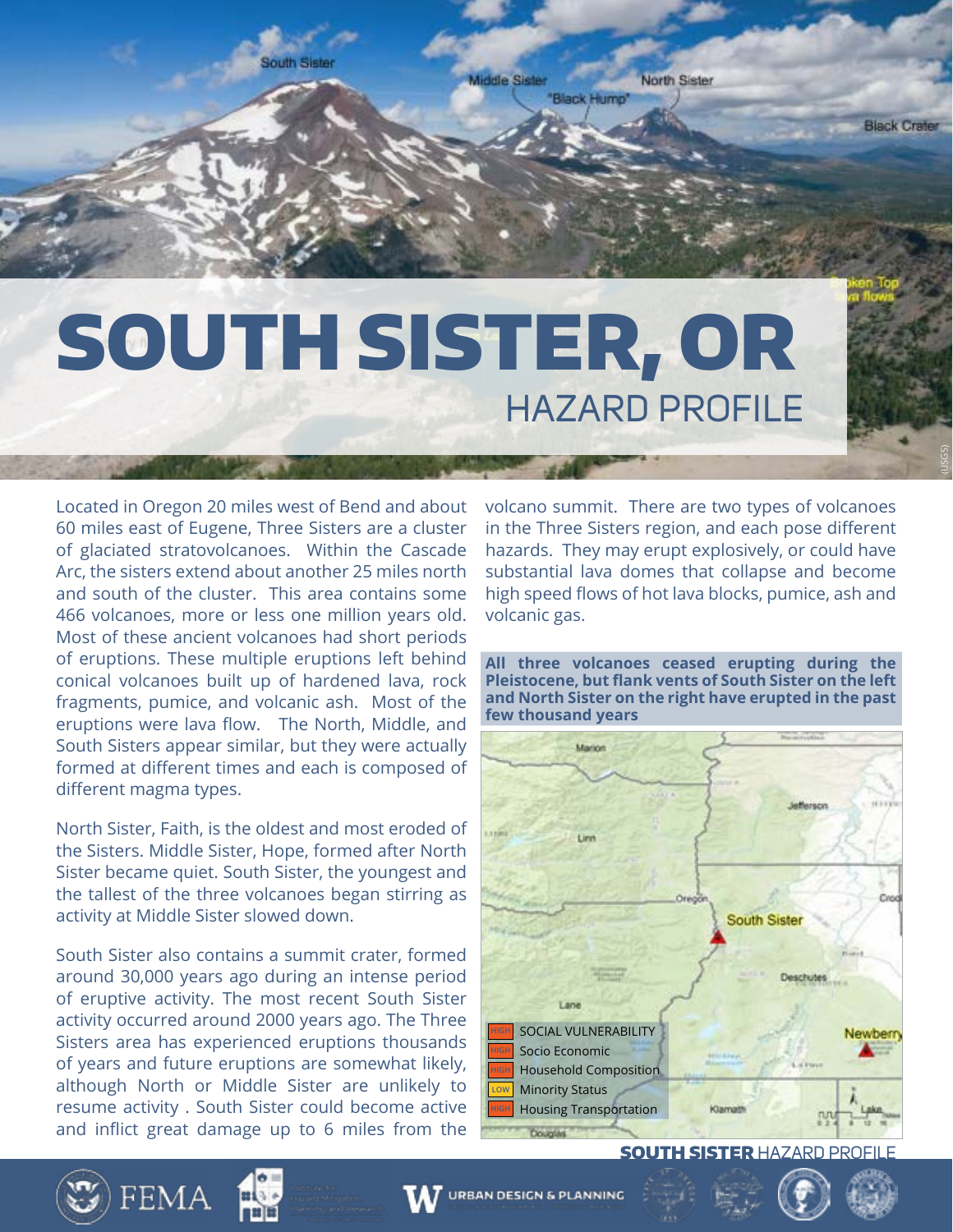![](_page_8_Picture_0.jpeg)

## SOUTH SISTER, OR HAZARD PROFILE

Located in Oregon 20 miles west of Bend and about 60 miles east of Eugene, Three Sisters are a cluster of glaciated stratovolcanoes. Within the Cascade Arc, the sisters extend about another 25 miles north and south of the cluster. This area contains some 466 volcanoes, more or less one million years old. Most of these ancient volcanoes had short periods of eruptions. These multiple eruptions left behind conical volcanoes built up of hardened lava, rock fragments, pumice, and volcanic ash. Most of the eruptions were lava flow. The North, Middle, and South Sisters appear similar, but they were actually formed at different times and each is composed of different magma types.

North Sister, Faith, is the oldest and most eroded of the Sisters. Middle Sister, Hope, formed after North Sister became quiet. South Sister, the youngest and the tallest of the three volcanoes began stirring as activity at Middle Sister slowed down.

South Sister also contains a summit crater, formed around 30,000 years ago during an intense period of eruptive activity. The most recent South Sister activity occurred around 2000 years ago. The Three Sisters area has experienced eruptions thousands of years and future eruptions are somewhat likely, although North or Middle Sister are unlikely to resume activity . South Sister could become active and inflict great damage up to 6 miles from the volcano summit. There are two types of volcanoes in the Three Sisters region, and each pose different hazards. They may erupt explosively, or could have substantial lava domes that collapse and become high speed flows of hot lava blocks, pumice, ash and volcanic gas.

(USGS)

**All three volcanoes ceased erupting during the Pleistocene, but flank vents of South Sister on the left and North Sister on the right have erupted in the past few thousand years**

![](_page_8_Figure_7.jpeg)

**SOUTH SISTER HAZARD PROFILE** 

![](_page_8_Picture_9.jpeg)

![](_page_8_Picture_10.jpeg)

![](_page_8_Picture_11.jpeg)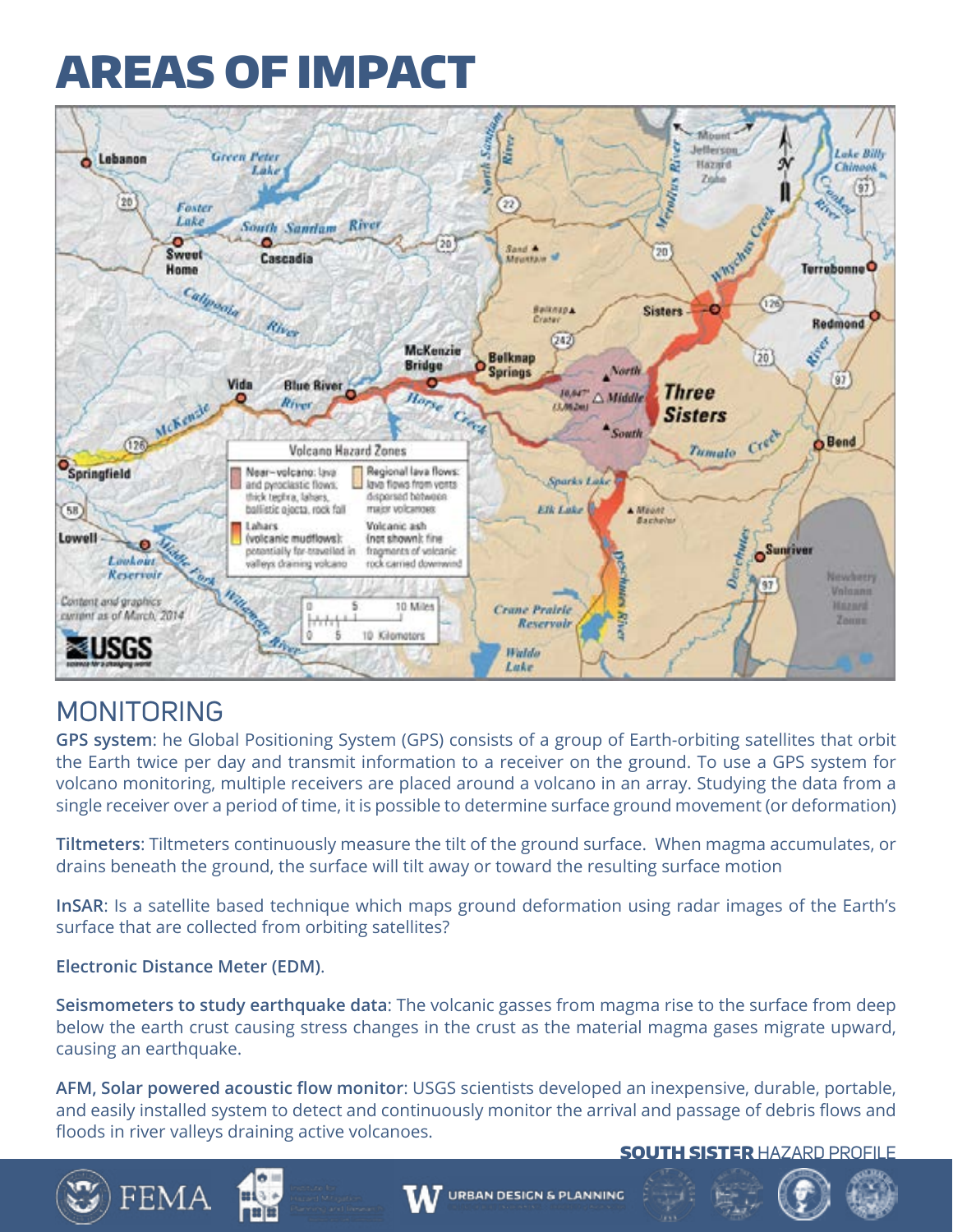![](_page_9_Picture_1.jpeg)

## MONITORING

**GPS system**: he Global Positioning System (GPS) consists of a group of Earth-orbiting satellites that orbit the Earth twice per day and transmit information to a receiver on the ground. To use a GPS system for volcano monitoring, multiple receivers are placed around a volcano in an array. Studying the data from a single receiver over a period of time, it is possible to determine surface ground movement (or deformation)

**Tiltmeters**: Tiltmeters continuously measure the tilt of the ground surface. When magma accumulates, or drains beneath the ground, the surface will tilt away or toward the resulting surface motion

**InSAR**: Is a satellite based technique which maps ground deformation using radar images of the Earth's surface that are collected from orbiting satellites?

#### **Electronic Distance Meter (EDM)**.

**Seismometers to study earthquake data**: The volcanic gasses from magma rise to the surface from deep below the earth crust causing stress changes in the crust as the material magma gases migrate upward, causing an earthquake.

**AFM, Solar powered acoustic flow monitor**: USGS scientists developed an inexpensive, durable, portable, and easily installed system to detect and continuously monitor the arrival and passage of debris flows and floods in river valleys draining active volcanoes.

**SOUTH SISTER HAZARD PROFILE** 

![](_page_9_Picture_10.jpeg)

![](_page_9_Picture_11.jpeg)

![](_page_9_Picture_12.jpeg)

![](_page_9_Picture_14.jpeg)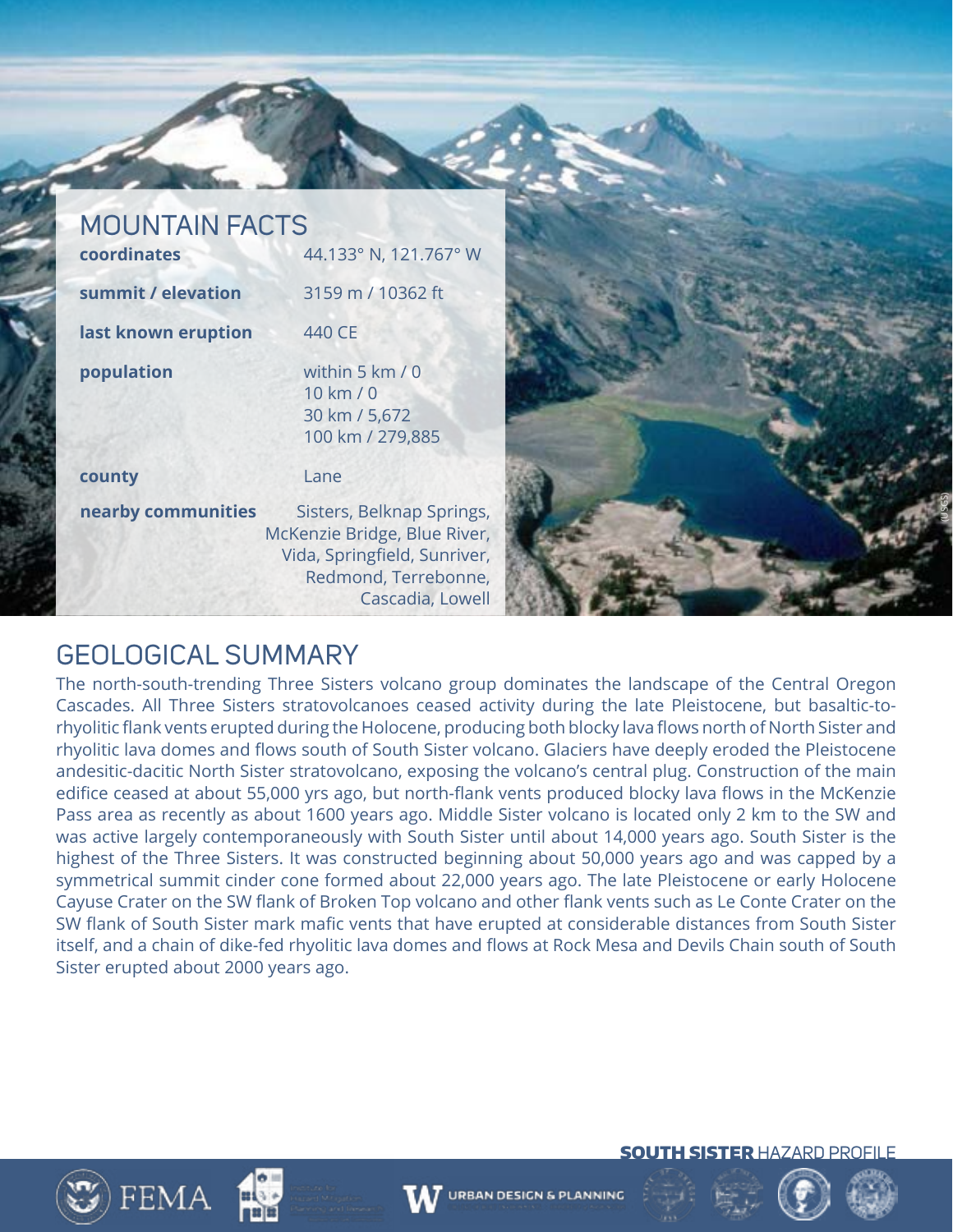#### MOUNTAIN FACTS **coordinates** 44.133° N, 121.767° W

| summit / elevation  | 3159 m / 10362 ft                                                                                                 |
|---------------------|-------------------------------------------------------------------------------------------------------------------|
| last known eruption | 440 CE                                                                                                            |
| population          | within 5 km / 0<br>10 km / 0<br>30 km / 5,672<br>100 km / 279,885                                                 |
| county              | Lane                                                                                                              |
| nearby communities  | Sisters, Belknap Springs,<br>McKenzie Bridge, Blue River,<br>Vida, Springfield, Sunriver,<br>Redmond, Terrebonne, |

![](_page_10_Picture_2.jpeg)

### GEOLOGICAL SUMMARY

The north-south-trending Three Sisters volcano group dominates the landscape of the Central Oregon Cascades. All Three Sisters stratovolcanoes ceased activity during the late Pleistocene, but basaltic-torhyolitic flank vents erupted during the Holocene, producing both blocky lava flows north of North Sister and rhyolitic lava domes and flows south of South Sister volcano. Glaciers have deeply eroded the Pleistocene andesitic-dacitic North Sister stratovolcano, exposing the volcano's central plug. Construction of the main edifice ceased at about 55,000 yrs ago, but north-flank vents produced blocky lava flows in the McKenzie Pass area as recently as about 1600 years ago. Middle Sister volcano is located only 2 km to the SW and was active largely contemporaneously with South Sister until about 14,000 years ago. South Sister is the highest of the Three Sisters. It was constructed beginning about 50,000 years ago and was capped by a symmetrical summit cinder cone formed about 22,000 years ago. The late Pleistocene or early Holocene Cayuse Crater on the SW flank of Broken Top volcano and other flank vents such as Le Conte Crater on the SW flank of South Sister mark mafic vents that have erupted at considerable distances from South Sister itself, and a chain of dike-fed rhyolitic lava domes and flows at Rock Mesa and Devils Chain south of South Sister erupted about 2000 years ago.

![](_page_10_Picture_5.jpeg)

![](_page_10_Picture_6.jpeg)

![](_page_10_Picture_7.jpeg)

![](_page_10_Picture_9.jpeg)

![](_page_10_Picture_10.jpeg)

**SOUTH SISTER HAZARD PROFILE** 

![](_page_10_Picture_11.jpeg)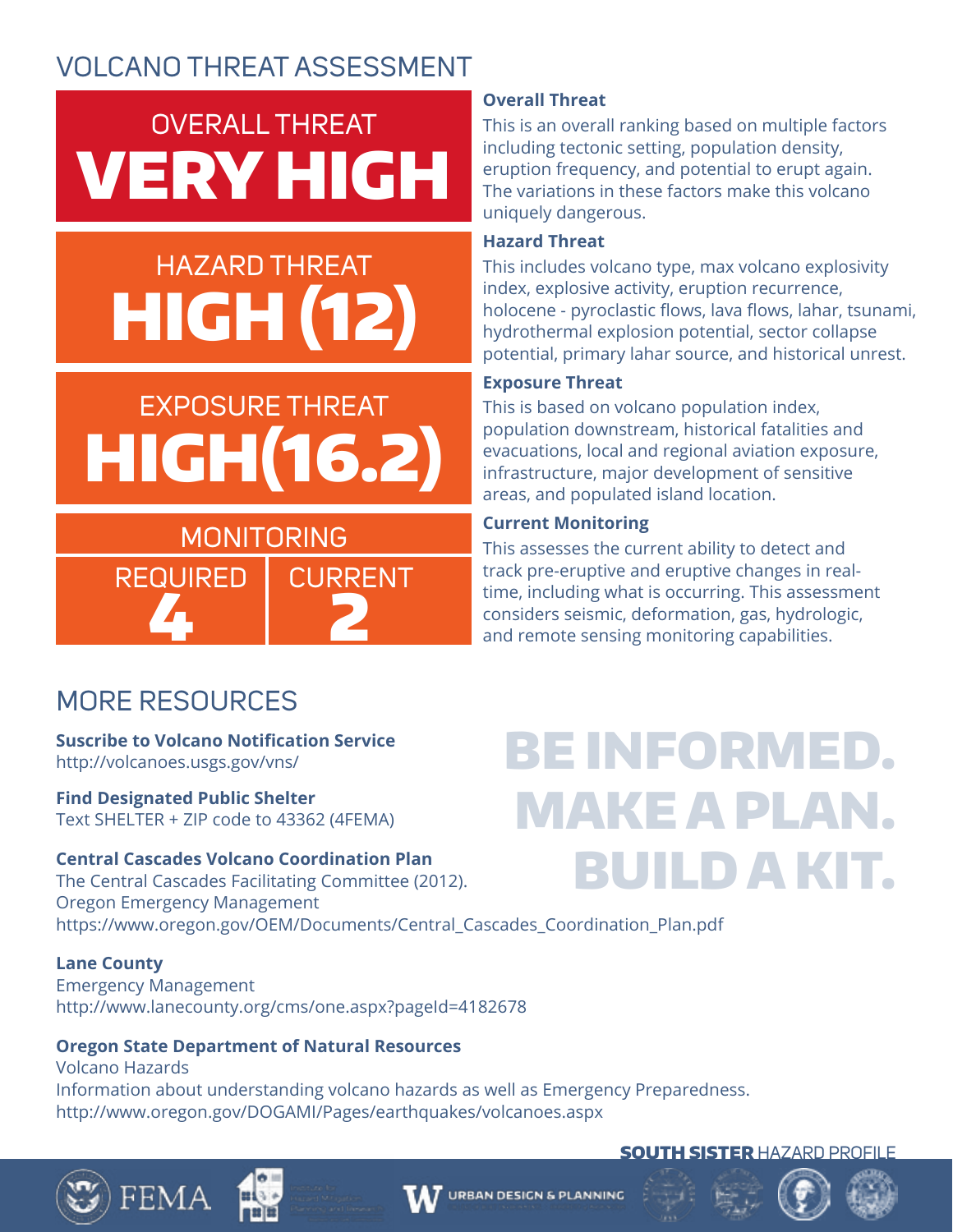## OVERALL THREAT VERY HIGH

## HAZARD THREAT HIGH (12)

## EXPOSURE THREAT HIGH(16.2)

## MONITORING REQUIRED | CURRENT

4 2

**Overall Threat**

This is an overall ranking based on multiple factors including tectonic setting, population density, eruption frequency, and potential to erupt again. The variations in these factors make this volcano uniquely dangerous.

#### **Hazard Threat**

This includes volcano type, max volcano explosivity index, explosive activity, eruption recurrence, holocene - pyroclastic flows, lava flows, lahar, tsunami, hydrothermal explosion potential, sector collapse potential, primary lahar source, and historical unrest.

### **Exposure Threat**

This is based on volcano population index, population downstream, historical fatalities and evacuations, local and regional aviation exposure, infrastructure, major development of sensitive areas, and populated island location.

#### **Current Monitoring**

This assesses the current ability to detect and track pre-eruptive and eruptive changes in realtime, including what is occurring. This assessment considers seismic, deformation, gas, hydrologic, and remote sensing monitoring capabilities.

## MORE RESOURCES

**Suscribe to Volcano Notification Service**  http://volcanoes.usgs.gov/vns/

**Find Designated Public Shelter** Text SHELTER + ZIP code to 43362 (4FEMA)

### **Central Cascades Volcano Coordination Plan**

The Central Cascades Facilitating Committee (2012). Oregon Emergency Management https://www.oregon.gov/OEM/Documents/Central\_Cascades\_Coordination\_Plan.pdf

#### **Lane County**

FEMA

Emergency Management http://www.lanecounty.org/cms/one.aspx?pageId=4182678

### **Oregon State Department of Natural Resources**

Volcano Hazards Information about understanding volcano hazards as well as Emergency Preparedness. http://www.oregon.gov/DOGAMI/Pages/earthquakes/volcanoes.aspx

## BE INFORMED. MAKE A PLAN. BUILD A KIT.

![](_page_11_Picture_23.jpeg)

![](_page_11_Picture_24.jpeg)

![](_page_11_Picture_25.jpeg)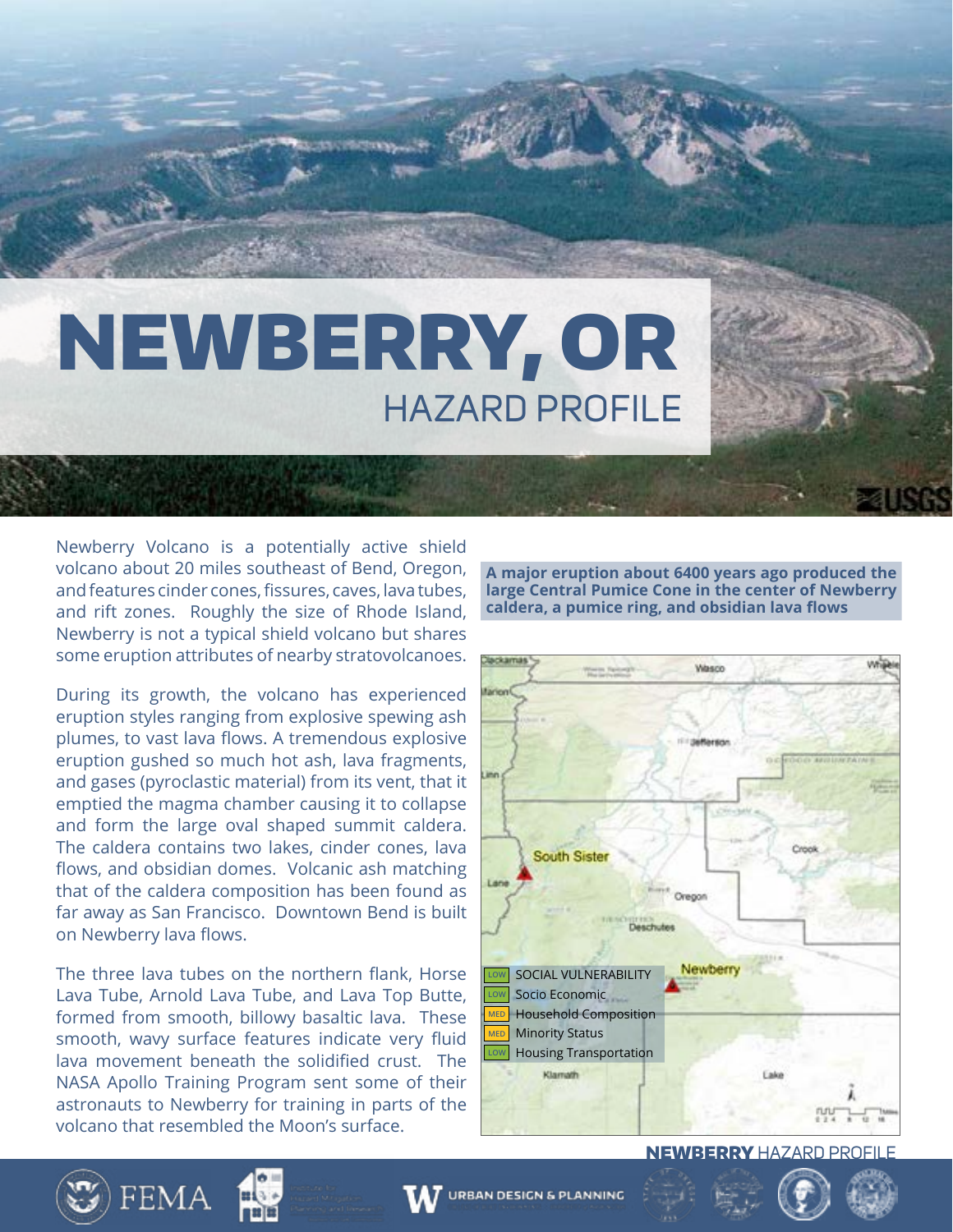# NEWBERRY, OR HAZARD PROFILE

Newberry Volcano is a potentially active shield volcano about 20 miles southeast of Bend, Oregon, and features cinder cones, fissures, caves, lava tubes, and rift zones. Roughly the size of Rhode Island, Newberry is not a typical shield volcano but shares some eruption attributes of nearby stratovolcanoes.

During its growth, the volcano has experienced eruption styles ranging from explosive spewing ash plumes, to vast lava flows. A tremendous explosive eruption gushed so much hot ash, lava fragments, and gases (pyroclastic material) from its vent, that it emptied the magma chamber causing it to collapse and form the large oval shaped summit caldera. The caldera contains two lakes, cinder cones, lava flows, and obsidian domes. Volcanic ash matching that of the caldera composition has been found as far away as San Francisco. Downtown Bend is built on Newberry lava flows.

The three lava tubes on the northern flank, Horse Lava Tube, Arnold Lava Tube, and Lava Top Butte, formed from smooth, billowy basaltic lava. These smooth, wavy surface features indicate very fluid lava movement beneath the solidified crust. The NASA Apollo Training Program sent some of their astronauts to Newberry for training in parts of the volcano that resembled the Moon's surface.

**A major eruption about 6400 years ago produced the large Central Pumice Cone in the center of Newberry caldera, a pumice ring, and obsidian lava flows**

![](_page_12_Picture_5.jpeg)

![](_page_12_Picture_6.jpeg)

![](_page_12_Picture_7.jpeg)

![](_page_12_Picture_8.jpeg)

![](_page_12_Picture_9.jpeg)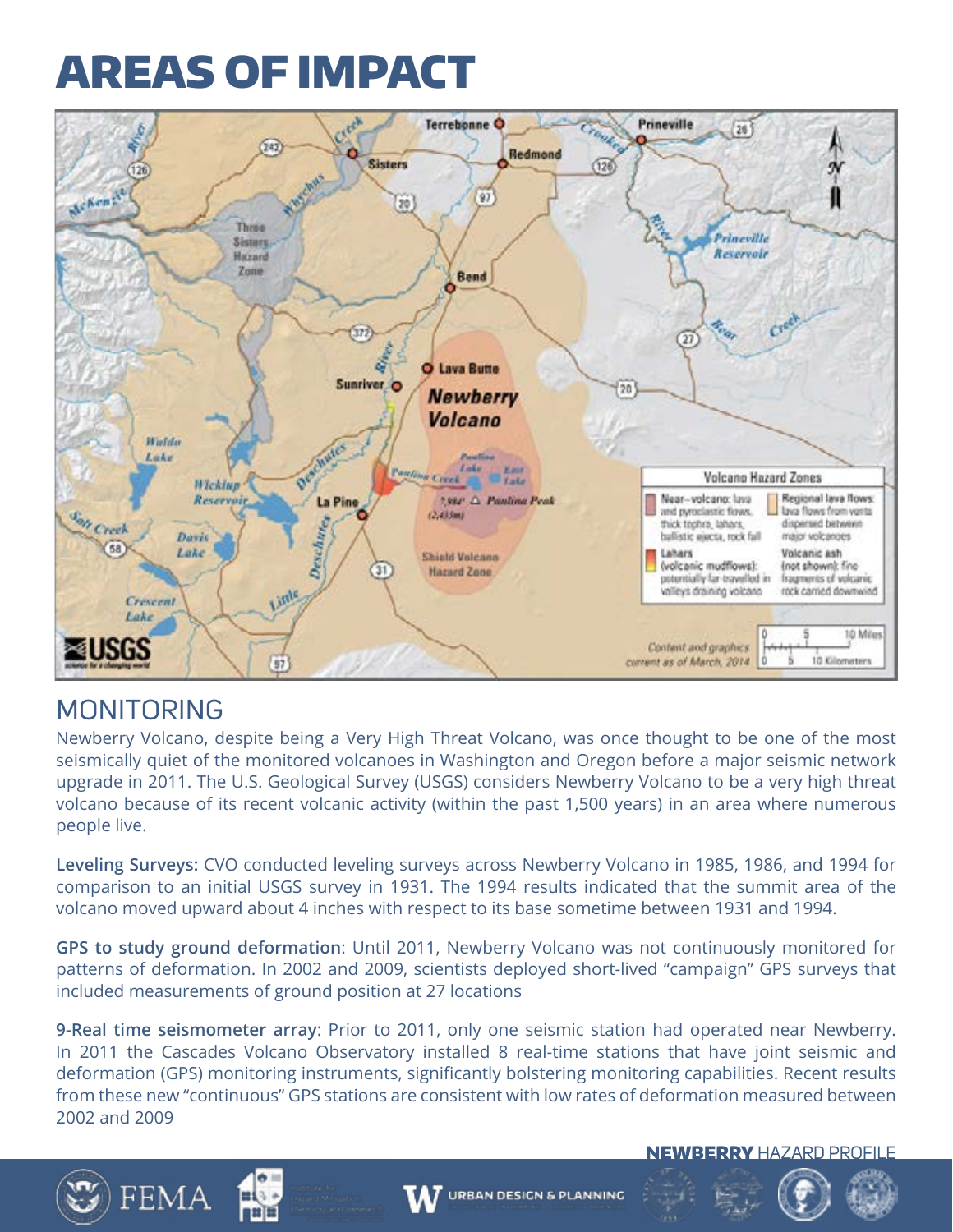![](_page_13_Picture_1.jpeg)

### MONITORING

Newberry Volcano, despite being a Very High Threat Volcano, was once thought to be one of the most seismically quiet of the monitored volcanoes in Washington and Oregon before a major seismic network upgrade in 2011. The U.S. Geological Survey (USGS) considers Newberry Volcano to be a very high threat volcano because of its recent volcanic activity (within the past 1,500 years) in an area where numerous people live.

**Leveling Surveys:** CVO conducted leveling surveys across Newberry Volcano in 1985, 1986, and 1994 for comparison to an initial USGS survey in 1931. The 1994 results indicated that the summit area of the volcano moved upward about 4 inches with respect to its base sometime between 1931 and 1994.

**GPS to study ground deformation**: Until 2011, Newberry Volcano was not continuously monitored for patterns of deformation. In 2002 and 2009, scientists deployed short-lived "campaign" GPS surveys that included measurements of ground position at 27 locations

**9-Real time seismometer array**: Prior to 2011, only one seismic station had operated near Newberry. In 2011 the Cascades Volcano Observatory installed 8 real-time stations that have joint seismic and deformation (GPS) monitoring instruments, significantly bolstering monitoring capabilities. Recent results from these new "continuous" GPS stations are consistent with low rates of deformation measured between 2002 and 2009

![](_page_13_Picture_7.jpeg)

![](_page_13_Picture_8.jpeg)

![](_page_13_Picture_9.jpeg)

![](_page_13_Picture_10.jpeg)

![](_page_13_Picture_12.jpeg)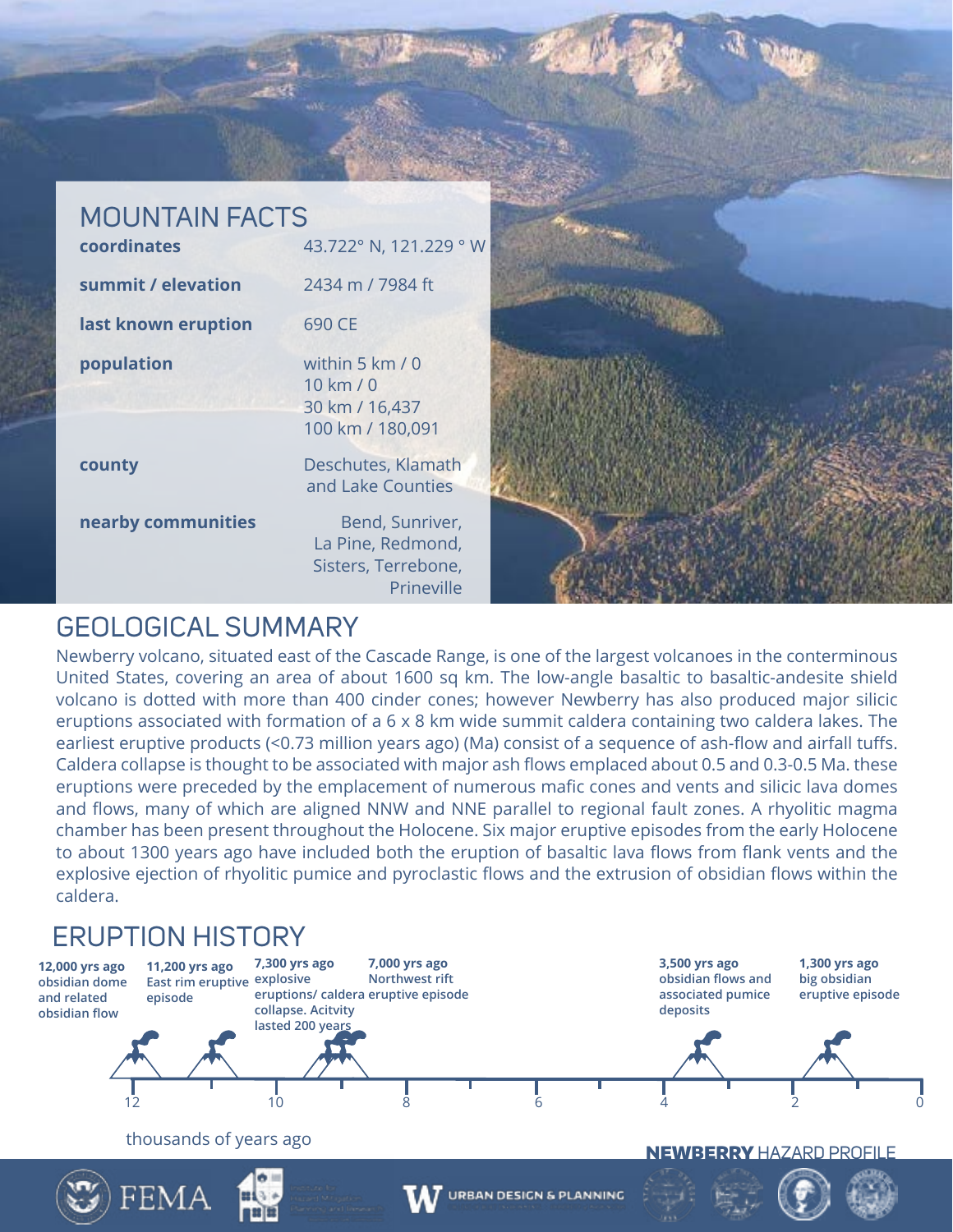![](_page_14_Picture_0.jpeg)

### GEOLOGICAL SUMMARY

Newberry volcano, situated east of the Cascade Range, is one of the largest volcanoes in the conterminous United States, covering an area of about 1600 sq km. The low-angle basaltic to basaltic-andesite shield volcano is dotted with more than 400 cinder cones; however Newberry has also produced major silicic eruptions associated with formation of a 6 x 8 km wide summit caldera containing two caldera lakes. The earliest eruptive products (<0.73 million years ago) (Ma) consist of a sequence of ash-flow and airfall tuffs. Caldera collapse is thought to be associated with major ash flows emplaced about 0.5 and 0.3-0.5 Ma. these eruptions were preceded by the emplacement of numerous mafic cones and vents and silicic lava domes and flows, many of which are aligned NNW and NNE parallel to regional fault zones. A rhyolitic magma chamber has been present throughout the Holocene. Six major eruptive episodes from the early Holocene to about 1300 years ago have included both the eruption of basaltic lava flows from flank vents and the explosive ejection of rhyolitic pumice and pyroclastic flows and the extrusion of obsidian flows within the caldera.

## ERUPTION HISTORY

![](_page_14_Figure_4.jpeg)